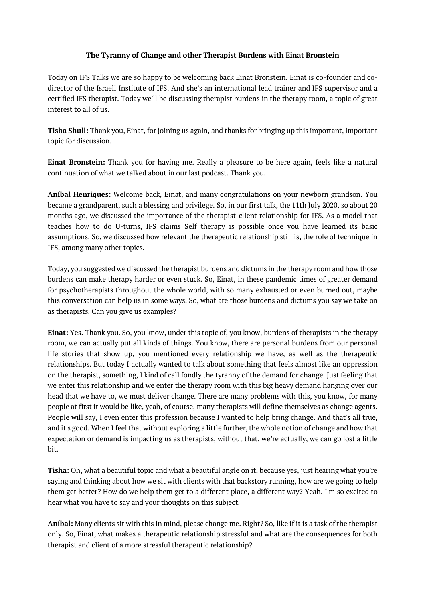### **The Tyranny of Change and other Therapist Burdens with Einat Bronstein**

Today on IFS Talks we are so happy to be welcoming back Einat Bronstein. Einat is co-founder and codirector of the Israeli Institute of IFS. And she's an international lead trainer and IFS supervisor and a certified IFS therapist. Today we'll be discussing therapist burdens in the therapy room, a topic of great interest to all of us.

**Tisha Shull:** Thank you, Einat, for joining us again, and thanks for bringing up this important, important topic for discussion.

**Einat Bronstein:** Thank you for having me. Really a pleasure to be here again, feels like a natural continuation of what we talked about in our last podcast. Thank you.

**Aníbal Henriques:** Welcome back, Einat, and many congratulations on your newborn grandson. You became a grandparent, such a blessing and privilege. So, in our first talk, the 11th July 2020, so about 20 months ago, we discussed the importance of the therapist-client relationship for IFS. As a model that teaches how to do U-turns, IFS claims Self therapy is possible once you have learned its basic assumptions. So, we discussed how relevant the therapeutic relationship still is, the role of technique in IFS, among many other topics.

Today, you suggested we discussed the therapist burdens and dictums in the therapy room and how those burdens can make therapy harder or even stuck. So, Einat, in these pandemic times of greater demand for psychotherapists throughout the whole world, with so many exhausted or even burned out, maybe this conversation can help us in some ways. So, what are those burdens and dictums you say we take on as therapists. Can you give us examples?

**Einat:** Yes. Thank you. So, you know, under this topic of, you know, burdens of therapists in the therapy room, we can actually put all kinds of things. You know, there are personal burdens from our personal life stories that show up, you mentioned every relationship we have, as well as the therapeutic relationships. But today I actually wanted to talk about something that feels almost like an oppression on the therapist, something, I kind of call fondly the tyranny of the demand for change. Just feeling that we enter this relationship and we enter the therapy room with this big heavy demand hanging over our head that we have to, we must deliver change. There are many problems with this, you know, for many people at first it would be like, yeah, of course, many therapists will define themselves as change agents. People will say, I even enter this profession because I wanted to help bring change. And that's all true, and it's good. When I feel that without exploring a little further, the whole notion of change and how that expectation or demand is impacting us as therapists, without that, we're actually, we can go lost a little bit.

**Tisha:** Oh, what a beautiful topic and what a beautiful angle on it, because yes, just hearing what you're saying and thinking about how we sit with clients with that backstory running, how are we going to help them get better? How do we help them get to a different place, a different way? Yeah. I'm so excited to hear what you have to say and your thoughts on this subject.

**Aníbal:** Many clients sit with this in mind, please change me. Right? So, like if it is a task of the therapist only. So, Einat, what makes a therapeutic relationship stressful and what are the consequences for both therapist and client of a more stressful therapeutic relationship?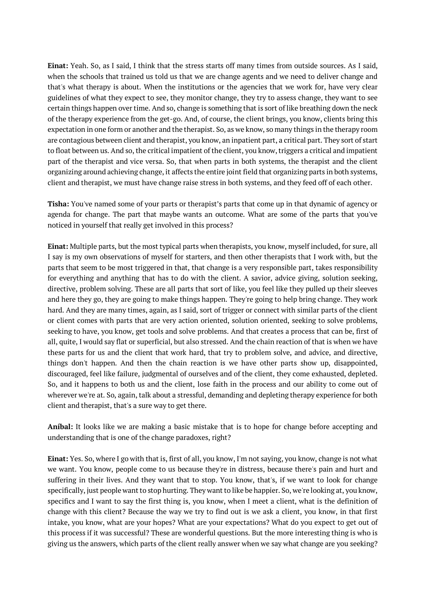**Einat:** Yeah. So, as I said, I think that the stress starts off many times from outside sources. As I said, when the schools that trained us told us that we are change agents and we need to deliver change and that's what therapy is about. When the institutions or the agencies that we work for, have very clear guidelines of what they expect to see, they monitor change, they try to assess change, they want to see certain things happen over time. And so, change is something that is sort of like breathing down the neck of the therapy experience from the get-go. And, of course, the client brings, you know, clients bring this expectation in one form or another and the therapist. So, as we know, so many things in the therapy room are contagious between client and therapist, you know, an inpatient part, a critical part. They sort of start to float between us. And so, the critical impatient of the client, you know, triggers a critical and impatient part of the therapist and vice versa. So, that when parts in both systems, the therapist and the client organizing around achieving change, it affects the entire joint field that organizing parts in both systems, client and therapist, we must have change raise stress in both systems, and they feed off of each other.

**Tisha:** You've named some of your parts or therapist's parts that come up in that dynamic of agency or agenda for change. The part that maybe wants an outcome. What are some of the parts that you've noticed in yourself that really get involved in this process?

**Einat:** Multiple parts, but the most typical parts when therapists, you know, myself included, for sure, all I say is my own observations of myself for starters, and then other therapists that I work with, but the parts that seem to be most triggered in that, that change is a very responsible part, takes responsibility for everything and anything that has to do with the client. A savior, advice giving, solution seeking, directive, problem solving. These are all parts that sort of like, you feel like they pulled up their sleeves and here they go, they are going to make things happen. They're going to help bring change. They work hard. And they are many times, again, as I said, sort of trigger or connect with similar parts of the client or client comes with parts that are very action oriented, solution oriented, seeking to solve problems, seeking to have, you know, get tools and solve problems. And that creates a process that can be, first of all, quite, I would say flat or superficial, but also stressed. And the chain reaction of that is when we have these parts for us and the client that work hard, that try to problem solve, and advice, and directive, things don't happen. And then the chain reaction is we have other parts show up, disappointed, discouraged, feel like failure, judgmental of ourselves and of the client, they come exhausted, depleted. So, and it happens to both us and the client, lose faith in the process and our ability to come out of wherever we're at. So, again, talk about a stressful, demanding and depleting therapy experience for both client and therapist, that's a sure way to get there.

**Aníbal:** It looks like we are making a basic mistake that is to hope for change before accepting and understanding that is one of the change paradoxes, right?

**Einat:** Yes. So, where I go with that is, first of all, you know, I'm not saying, you know, change is not what we want. You know, people come to us because they're in distress, because there's pain and hurt and suffering in their lives. And they want that to stop. You know, that's, if we want to look for change specifically, just people want to stop hurting. They want to like be happier. So, we're looking at, you know, specifics and I want to say the first thing is, you know, when I meet a client, what is the definition of change with this client? Because the way we try to find out is we ask a client, you know, in that first intake, you know, what are your hopes? What are your expectations? What do you expect to get out of this process if it was successful? These are wonderful questions. But the more interesting thing is who is giving us the answers, which parts of the client really answer when we say what change are you seeking?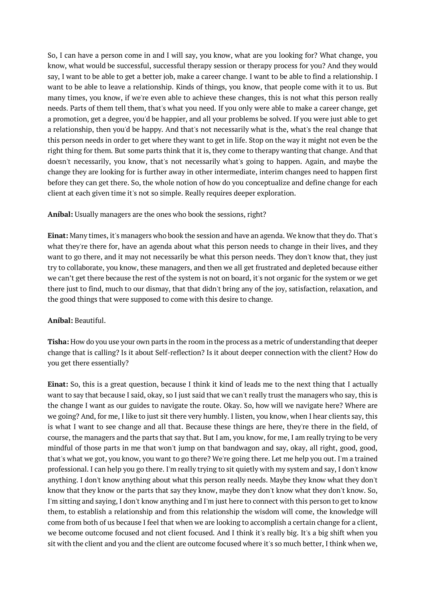So, I can have a person come in and I will say, you know, what are you looking for? What change, you know, what would be successful, successful therapy session or therapy process for you? And they would say, I want to be able to get a better job, make a career change. I want to be able to find a relationship. I want to be able to leave a relationship. Kinds of things, you know, that people come with it to us. But many times, you know, if we're even able to achieve these changes, this is not what this person really needs. Parts of them tell them, that's what you need. If you only were able to make a career change, get a promotion, get a degree, you'd be happier, and all your problems be solved. If you were just able to get a relationship, then you'd be happy. And that's not necessarily what is the, what's the real change that this person needs in order to get where they want to get in life. Stop on the way it might not even be the right thing for them. But some parts think that it is, they come to therapy wanting that change. And that doesn't necessarily, you know, that's not necessarily what's going to happen. Again, and maybe the change they are looking for is further away in other intermediate, interim changes need to happen first before they can get there. So, the whole notion of how do you conceptualize and define change for each client at each given time it's not so simple. Really requires deeper exploration.

# **Aníbal:** Usually managers are the ones who book the sessions, right?

**Einat:** Many times, it's managers who book the session and have an agenda. We know that they do. That's what they're there for, have an agenda about what this person needs to change in their lives, and they want to go there, and it may not necessarily be what this person needs. They don't know that, they just try to collaborate, you know, these managers, and then we all get frustrated and depleted because either we can't get there because the rest of the system is not on board, it's not organic for the system or we get there just to find, much to our dismay, that that didn't bring any of the joy, satisfaction, relaxation, and the good things that were supposed to come with this desire to change.

# **Aníbal:** Beautiful.

**Tisha:** How do you use your own parts in the room in the process as a metric of understanding that deeper change that is calling? Is it about Self-reflection? Is it about deeper connection with the client? How do you get there essentially?

**Einat:** So, this is a great question, because I think it kind of leads me to the next thing that I actually want to say that because I said, okay, so I just said that we can't really trust the managers who say, this is the change I want as our guides to navigate the route. Okay. So, how will we navigate here? Where are we going? And, for me, I like to just sit there very humbly. I listen, you know, when I hear clients say, this is what I want to see change and all that. Because these things are here, they're there in the field, of course, the managers and the parts that say that. But I am, you know, for me, I am really trying to be very mindful of those parts in me that won't jump on that bandwagon and say, okay, all right, good, good, that's what we got, you know, you want to go there? We're going there. Let me help you out. I'm a trained professional. I can help you go there. I'm really trying to sit quietly with my system and say, I don't know anything. I don't know anything about what this person really needs. Maybe they know what they don't know that they know or the parts that say they know, maybe they don't know what they don't know. So, I'm sitting and saying, I don't know anything and I'm just here to connect with this person to get to know them, to establish a relationship and from this relationship the wisdom will come, the knowledge will come from both of us because I feel that when we are looking to accomplish a certain change for a client, we become outcome focused and not client focused. And I think it's really big. It's a big shift when you sit with the client and you and the client are outcome focused where it's so much better, I think when we,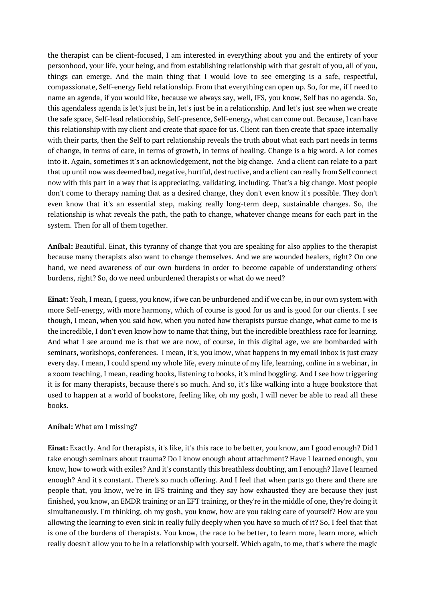the therapist can be client-focused, I am interested in everything about you and the entirety of your personhood, your life, your being, and from establishing relationship with that gestalt of you, all of you, things can emerge. And the main thing that I would love to see emerging is a safe, respectful, compassionate, Self-energy field relationship. From that everything can open up. So, for me, if I need to name an agenda, if you would like, because we always say, well, IFS, you know, Self has no agenda. So, this agendaless agenda is let's just be in, let's just be in a relationship. And let's just see when we create the safe space, Self-lead relationship, Self-presence, Self-energy, what can come out. Because, I can have this relationship with my client and create that space for us. Client can then create that space internally with their parts, then the Self to part relationship reveals the truth about what each part needs in terms of change, in terms of care, in terms of growth, in terms of healing. Change is a big word. A lot comes into it. Again, sometimes it's an acknowledgement, not the big change. And a client can relate to a part that up until now was deemed bad, negative, hurtful, destructive, and a client can really from Self connect now with this part in a way that is appreciating, validating, including. That's a big change. Most people don't come to therapy naming that as a desired change, they don't even know it's possible. They don't even know that it's an essential step, making really long-term deep, sustainable changes. So, the relationship is what reveals the path, the path to change, whatever change means for each part in the system. Then for all of them together.

**Aníbal:** Beautiful. Einat, this tyranny of change that you are speaking for also applies to the therapist because many therapists also want to change themselves. And we are wounded healers, right? On one hand, we need awareness of our own burdens in order to become capable of understanding others' burdens, right? So, do we need unburdened therapists or what do we need?

**Einat:** Yeah, I mean, I guess, you know, if we can be unburdened and if we can be, in our own system with more Self-energy, with more harmony, which of course is good for us and is good for our clients. I see though, I mean, when you said how, when you noted how therapists pursue change, what came to me is the incredible, I don't even know how to name that thing, but the incredible breathless race for learning. And what I see around me is that we are now, of course, in this digital age, we are bombarded with seminars, workshops, conferences. I mean, it's, you know, what happens in my email inbox is just crazy every day. I mean, I could spend my whole life, every minute of my life, learning, online in a webinar, in a zoom teaching, I mean, reading books, listening to books, it's mind boggling. And I see how triggering it is for many therapists, because there's so much. And so, it's like walking into a huge bookstore that used to happen at a world of bookstore, feeling like, oh my gosh, I will never be able to read all these books.

# **Aníbal:** What am I missing?

**Einat:** Exactly. And for therapists, it's like, it's this race to be better, you know, am I good enough? Did I take enough seminars about trauma? Do I know enough about attachment? Have I learned enough, you know, how to work with exiles? And it's constantly this breathless doubting, am I enough? Have I learned enough? And it's constant. There's so much offering. And I feel that when parts go there and there are people that, you know, we're in IFS training and they say how exhausted they are because they just finished, you know, an EMDR training or an EFT training, or they're in the middle of one, they're doing it simultaneously. I'm thinking, oh my gosh, you know, how are you taking care of yourself? How are you allowing the learning to even sink in really fully deeply when you have so much of it? So, I feel that that is one of the burdens of therapists. You know, the race to be better, to learn more, learn more, which really doesn't allow you to be in a relationship with yourself. Which again, to me, that's where the magic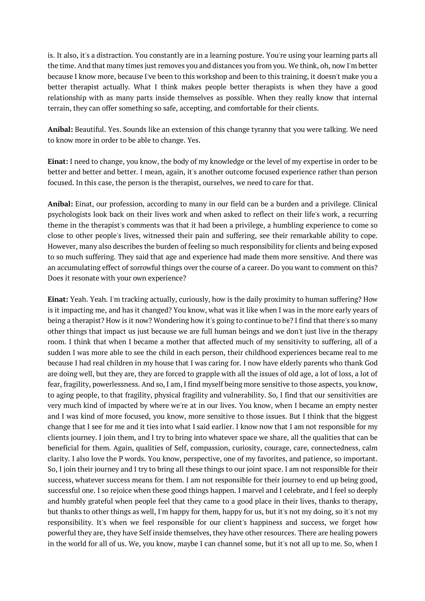is. It also, it's a distraction. You constantly are in a learning posture. You're using your learning parts all the time. And that many times just removes you and distances you from you. We think, oh, now I'm better because I know more, because I've been to this workshop and been to this training, it doesn't make you a better therapist actually. What I think makes people better therapists is when they have a good relationship with as many parts inside themselves as possible. When they really know that internal terrain, they can offer something so safe, accepting, and comfortable for their clients.

**Aníbal:** Beautiful. Yes. Sounds like an extension of this change tyranny that you were talking. We need to know more in order to be able to change. Yes.

**Einat:** I need to change, you know, the body of my knowledge or the level of my expertise in order to be better and better and better. I mean, again, it's another outcome focused experience rather than person focused. In this case, the person is the therapist, ourselves, we need to care for that.

**Aníbal:** Einat, our profession, according to many in our field can be a burden and a privilege. Clinical psychologists look back on their lives work and when asked to reflect on their life's work, a recurring theme in the therapist's comments was that it had been a privilege, a humbling experience to come so close to other people's lives, witnessed their pain and suffering, see their remarkable ability to cope. However, many also describes the burden of feeling so much responsibility for clients and being exposed to so much suffering. They said that age and experience had made them more sensitive. And there was an accumulating effect of sorrowful things over the course of a career. Do you want to comment on this? Does it resonate with your own experience?

**Einat:** Yeah. Yeah. I'm tracking actually, curiously, how is the daily proximity to human suffering? How is it impacting me, and has it changed? You know, what was it like when I was in the more early years of being a therapist? How is it now? Wondering how it's going to continue to be? I find that there's so many other things that impact us just because we are full human beings and we don't just live in the therapy room. I think that when I became a mother that affected much of my sensitivity to suffering, all of a sudden I was more able to see the child in each person, their childhood experiences became real to me because I had real children in my house that I was caring for. I now have elderly parents who thank God are doing well, but they are, they are forced to grapple with all the issues of old age, a lot of loss, a lot of fear, fragility, powerlessness. And so, I am, I find myself being more sensitive to those aspects, you know, to aging people, to that fragility, physical fragility and vulnerability. So, I find that our sensitivities are very much kind of impacted by where we're at in our lives. You know, when I became an empty nester and I was kind of more focused, you know, more sensitive to those issues. But I think that the biggest change that I see for me and it ties into what I said earlier. I know now that I am not responsible for my clients journey. I join them, and I try to bring into whatever space we share, all the qualities that can be beneficial for them. Again, qualities of Self, compassion, curiosity, courage, care, connectedness, calm clarity. I also love the P words. You know, perspective, one of my favorites, and patience, so important. So, I join their journey and I try to bring all these things to our joint space. I am not responsible for their success, whatever success means for them. I am not responsible for their journey to end up being good, successful one. I so rejoice when these good things happen. I marvel and I celebrate, and I feel so deeply and humbly grateful when people feel that they came to a good place in their lives, thanks to therapy, but thanks to other things as well, I'm happy for them, happy for us, but it's not my doing, so it's not my responsibility. It's when we feel responsible for our client's happiness and success, we forget how powerful they are, they have Self inside themselves, they have other resources. There are healing powers in the world for all of us. We, you know, maybe I can channel some, but it's not all up to me. So, when I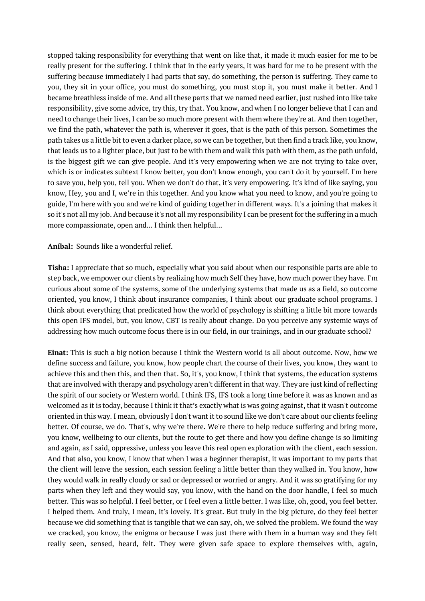stopped taking responsibility for everything that went on like that, it made it much easier for me to be really present for the suffering. I think that in the early years, it was hard for me to be present with the suffering because immediately I had parts that say, do something, the person is suffering. They came to you, they sit in your office, you must do something, you must stop it, you must make it better. And I became breathless inside of me. And all these parts that we named need earlier, just rushed into like take responsibility, give some advice, try this, try that. You know, and when I no longer believe that I can and need to change their lives, I can be so much more present with them where they're at. And then together, we find the path, whatever the path is, wherever it goes, that is the path of this person. Sometimes the path takes us a little bit to even a darker place, so we can be together, but then find a track like, you know, that leads us to a lighter place, but just to be with them and walk this path with them, as the path unfold, is the biggest gift we can give people. And it's very empowering when we are not trying to take over, which is or indicates subtext I know better, you don't know enough, you can't do it by yourself. I'm here to save you, help you, tell you. When we don't do that, it's very empowering. It's kind of like saying, you know, Hey, you and I, we're in this together. And you know what you need to know, and you're going to guide, I'm here with you and we're kind of guiding together in different ways. It's a joining that makes it so it's not all my job. And because it's not all my responsibility I can be present for the suffering in a much more compassionate, open and... I think then helpful...

### **Aníbal:** Sounds like a wonderful relief.

**Tisha:** I appreciate that so much, especially what you said about when our responsible parts are able to step back, we empower our clients by realizing how much Self they have, how much power they have. I'm curious about some of the systems, some of the underlying systems that made us as a field, so outcome oriented, you know, I think about insurance companies, I think about our graduate school programs. I think about everything that predicated how the world of psychology is shifting a little bit more towards this open IFS model, but, you know, CBT is really about change. Do you perceive any systemic ways of addressing how much outcome focus there is in our field, in our trainings, and in our graduate school?

**Einat:** This is such a big notion because I think the Western world is all about outcome. Now, how we define success and failure, you know, how people chart the course of their lives, you know, they want to achieve this and then this, and then that. So, it's, you know, I think that systems, the education systems that are involved with therapy and psychology aren't different in that way. They are just kind of reflecting the spirit of our society or Western world. I think IFS, IFS took a long time before it was as known and as welcomed as it is today, because I think it that's exactly what is was going against, that it wasn't outcome oriented in this way. I mean, obviously I don't want it to sound like we don't care about our clients feeling better. Of course, we do. That's, why we're there. We're there to help reduce suffering and bring more, you know, wellbeing to our clients, but the route to get there and how you define change is so limiting and again, as I said, oppressive, unless you leave this real open exploration with the client, each session. And that also, you know, I know that when I was a beginner therapist, it was important to my parts that the client will leave the session, each session feeling a little better than they walked in. You know, how they would walk in really cloudy or sad or depressed or worried or angry. And it was so gratifying for my parts when they left and they would say, you know, with the hand on the door handle, I feel so much better. This was so helpful. I feel better, or I feel even a little better. I was like, oh, good, you feel better. I helped them. And truly, I mean, it's lovely. It's great. But truly in the big picture, do they feel better because we did something that is tangible that we can say, oh, we solved the problem. We found the way we cracked, you know, the enigma or because I was just there with them in a human way and they felt really seen, sensed, heard, felt. They were given safe space to explore themselves with, again,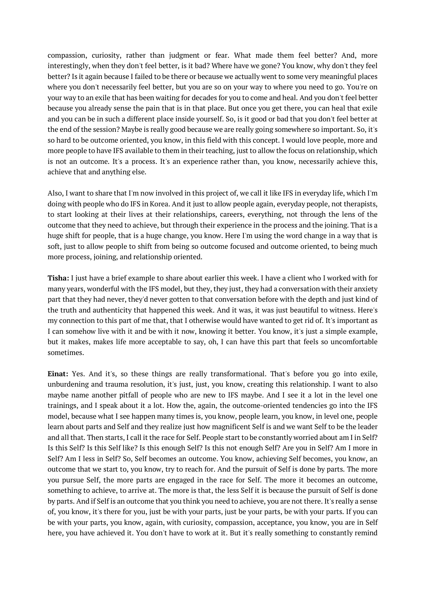compassion, curiosity, rather than judgment or fear. What made them feel better? And, more interestingly, when they don't feel better, is it bad? Where have we gone? You know, why don't they feel better? Is it again because I failed to be there or because we actually went to some very meaningful places where you don't necessarily feel better, but you are so on your way to where you need to go. You're on your way to an exile that has been waiting for decades for you to come and heal. And you don't feel better because you already sense the pain that is in that place. But once you get there, you can heal that exile and you can be in such a different place inside yourself. So, is it good or bad that you don't feel better at the end of the session? Maybe is really good because we are really going somewhere so important. So, it's so hard to be outcome oriented, you know, in this field with this concept. I would love people, more and more people to have IFS available to them in their teaching, just to allow the focus on relationship, which is not an outcome. It's a process. It's an experience rather than, you know, necessarily achieve this, achieve that and anything else.

Also, I want to share that I'm now involved in this project of, we call it like IFS in everyday life, which I'm doing with people who do IFS in Korea. And it just to allow people again, everyday people, not therapists, to start looking at their lives at their relationships, careers, everything, not through the lens of the outcome that they need to achieve, but through their experience in the process and the joining. That is a huge shift for people, that is a huge change, you know. Here I'm using the word change in a way that is soft, just to allow people to shift from being so outcome focused and outcome oriented, to being much more process, joining, and relationship oriented.

**Tisha:** I just have a brief example to share about earlier this week. I have a client who I worked with for many years, wonderful with the IFS model, but they, they just, they had a conversation with their anxiety part that they had never, they'd never gotten to that conversation before with the depth and just kind of the truth and authenticity that happened this week. And it was, it was just beautiful to witness. Here's my connection to this part of me that, that I otherwise would have wanted to get rid of. It's important as I can somehow live with it and be with it now, knowing it better. You know, it's just a simple example, but it makes, makes life more acceptable to say, oh, I can have this part that feels so uncomfortable sometimes.

**Einat:** Yes. And it's, so these things are really transformational. That's before you go into exile, unburdening and trauma resolution, it's just, just, you know, creating this relationship. I want to also maybe name another pitfall of people who are new to IFS maybe. And I see it a lot in the level one trainings, and I speak about it a lot. How the, again, the outcome-oriented tendencies go into the IFS model, because what I see happen many times is, you know, people learn, you know, in level one, people learn about parts and Self and they realize just how magnificent Self is and we want Self to be the leader and all that. Then starts, I call it the race for Self. People start to be constantly worried about am I in Self? Is this Self? Is this Self like? Is this enough Self? Is this not enough Self? Are you in Self? Am I more in Self? Am I less in Self? So, Self becomes an outcome. You know, achieving Self becomes, you know, an outcome that we start to, you know, try to reach for. And the pursuit of Self is done by parts. The more you pursue Self, the more parts are engaged in the race for Self. The more it becomes an outcome, something to achieve, to arrive at. The more is that, the less Self it is because the pursuit of Self is done by parts. And if Self is an outcome that you think you need to achieve, you are not there. It's really a sense of, you know, it's there for you, just be with your parts, just be your parts, be with your parts. If you can be with your parts, you know, again, with curiosity, compassion, acceptance, you know, you are in Self here, you have achieved it. You don't have to work at it. But it's really something to constantly remind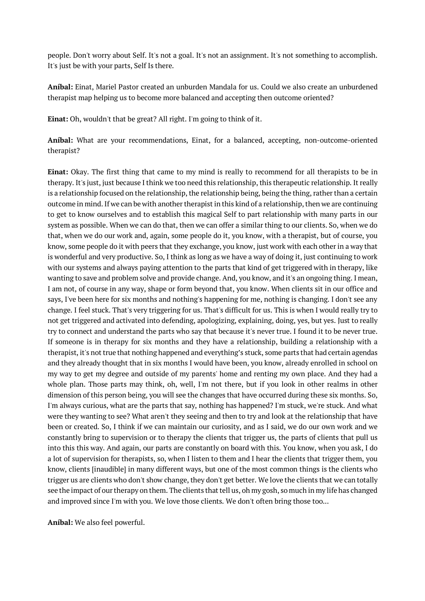people. Don't worry about Self. It's not a goal. It's not an assignment. It's not something to accomplish. It's just be with your parts, Self Is there.

**Aníbal:** Einat, Mariel Pastor created an unburden Mandala for us. Could we also create an unburdened therapist map helping us to become more balanced and accepting then outcome oriented?

**Einat:** Oh, wouldn't that be great? All right. I'm going to think of it.

**Aníbal:** What are your recommendations, Einat, for a balanced, accepting, non-outcome-oriented therapist?

**Einat:** Okay. The first thing that came to my mind is really to recommend for all therapists to be in therapy. It's just, just because I think we too need this relationship, this therapeutic relationship. It really is a relationship focused on the relationship, the relationship being, being the thing, rather than a certain outcome in mind.If we can be with another therapist in this kind of a relationship, then we are continuing to get to know ourselves and to establish this magical Self to part relationship with many parts in our system as possible. When we can do that, then we can offer a similar thing to our clients. So, when we do that, when we do our work and, again, some people do it, you know, with a therapist, but of course, you know, some people do it with peers that they exchange, you know, just work with each other in a way that is wonderful and very productive. So, I think as long as we have a way of doing it, just continuing to work with our systems and always paying attention to the parts that kind of get triggered with in therapy, like wanting to save and problem solve and provide change. And, you know, and it's an ongoing thing. I mean, I am not, of course in any way, shape or form beyond that, you know. When clients sit in our office and says, I've been here for six months and nothing's happening for me, nothing is changing. I don't see any change. I feel stuck. That's very triggering for us. That's difficult for us. This is when I would really try to not get triggered and activated into defending, apologizing, explaining, doing, yes, but yes. Just to really try to connect and understand the parts who say that because it's never true. I found it to be never true. If someone is in therapy for six months and they have a relationship, building a relationship with a therapist, it's not true that nothing happened and everything's stuck, some parts that had certain agendas and they already thought that in six months I would have been, you know, already enrolled in school on my way to get my degree and outside of my parents' home and renting my own place. And they had a whole plan. Those parts may think, oh, well, I'm not there, but if you look in other realms in other dimension of this person being, you will see the changes that have occurred during these six months. So, I'm always curious, what are the parts that say, nothing has happened? I'm stuck, we're stuck. And what were they wanting to see? What aren't they seeing and then to try and look at the relationship that have been or created. So, I think if we can maintain our curiosity, and as I said, we do our own work and we constantly bring to supervision or to therapy the clients that trigger us, the parts of clients that pull us into this this way. And again, our parts are constantly on board with this. You know, when you ask, I do a lot of supervision for therapists, so, when I listen to them and I hear the clients that trigger them, you know, clients [inaudible] in many different ways, but one of the most common things is the clients who trigger us are clients who don't show change, they don't get better. We love the clients that we can totally see the impact of our therapy on them. The clients that tell us, oh my gosh, so much in my life has changed and improved since I'm with you. We love those clients. We don't often bring those too...

**Aníbal:** We also feel powerful.